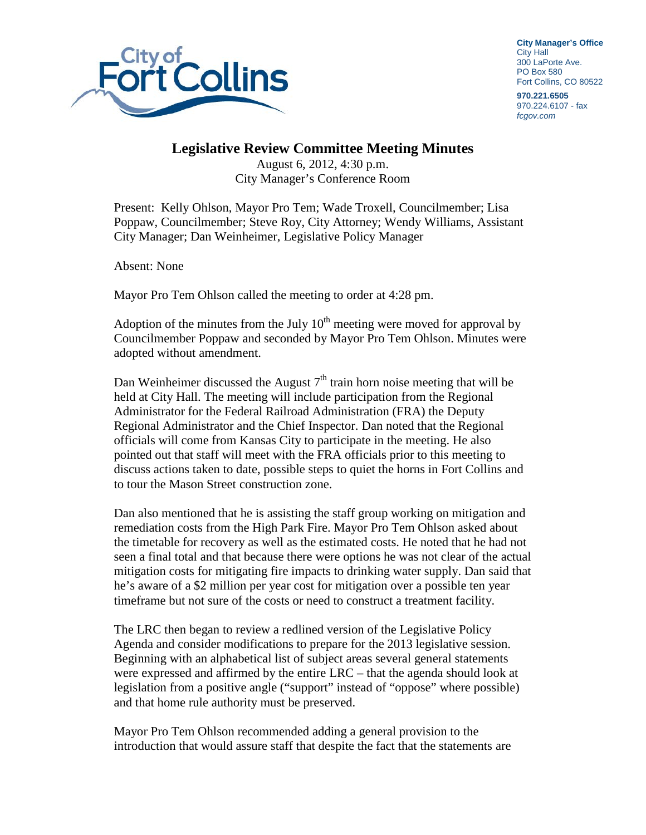

**City Manager's Office** City Hall 300 LaPorte Ave. PO Box 580 Fort Collins, CO 80522

**970.221.6505** 970.224.6107 - fax *fcgov.com*

## **Legislative Review Committee Meeting Minutes**

August 6, 2012, 4:30 p.m. City Manager's Conference Room

Present: Kelly Ohlson, Mayor Pro Tem; Wade Troxell, Councilmember; Lisa Poppaw, Councilmember; Steve Roy, City Attorney; Wendy Williams, Assistant City Manager; Dan Weinheimer, Legislative Policy Manager

Absent: None

Mayor Pro Tem Ohlson called the meeting to order at 4:28 pm.

Adoption of the minutes from the July  $10<sup>th</sup>$  meeting were moved for approval by Councilmember Poppaw and seconded by Mayor Pro Tem Ohlson. Minutes were adopted without amendment.

Dan Weinheimer discussed the August  $7<sup>th</sup>$  train horn noise meeting that will be held at City Hall. The meeting will include participation from the Regional Administrator for the Federal Railroad Administration (FRA) the Deputy Regional Administrator and the Chief Inspector. Dan noted that the Regional officials will come from Kansas City to participate in the meeting. He also pointed out that staff will meet with the FRA officials prior to this meeting to discuss actions taken to date, possible steps to quiet the horns in Fort Collins and to tour the Mason Street construction zone.

Dan also mentioned that he is assisting the staff group working on mitigation and remediation costs from the High Park Fire. Mayor Pro Tem Ohlson asked about the timetable for recovery as well as the estimated costs. He noted that he had not seen a final total and that because there were options he was not clear of the actual mitigation costs for mitigating fire impacts to drinking water supply. Dan said that he's aware of a \$2 million per year cost for mitigation over a possible ten year timeframe but not sure of the costs or need to construct a treatment facility.

The LRC then began to review a redlined version of the Legislative Policy Agenda and consider modifications to prepare for the 2013 legislative session. Beginning with an alphabetical list of subject areas several general statements were expressed and affirmed by the entire LRC – that the agenda should look at legislation from a positive angle ("support" instead of "oppose" where possible) and that home rule authority must be preserved.

Mayor Pro Tem Ohlson recommended adding a general provision to the introduction that would assure staff that despite the fact that the statements are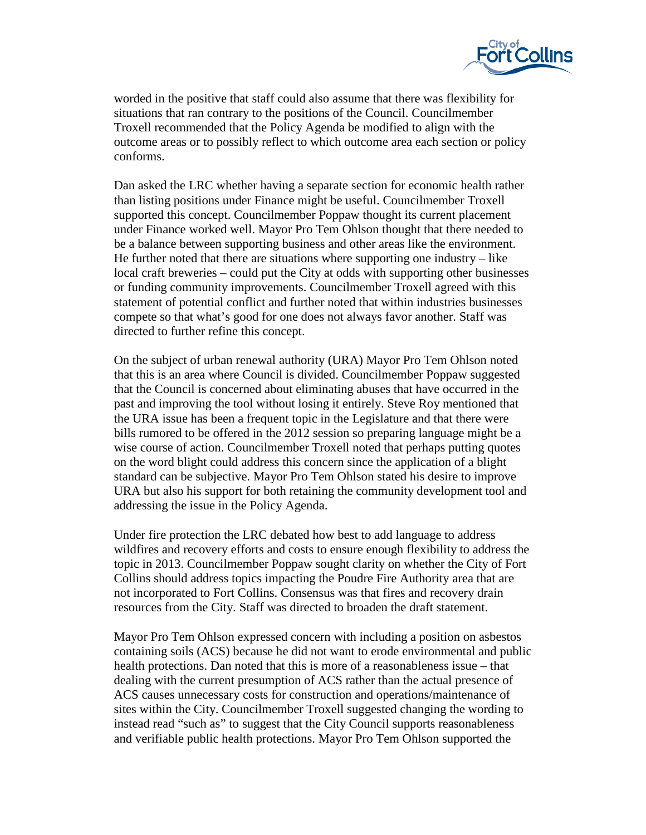

worded in the positive that staff could also assume that there was flexibility for situations that ran contrary to the positions of the Council. Councilmember Troxell recommended that the Policy Agenda be modified to align with the outcome areas or to possibly reflect to which outcome area each section or policy conforms.

Dan asked the LRC whether having a separate section for economic health rather than listing positions under Finance might be useful. Councilmember Troxell supported this concept. Councilmember Poppaw thought its current placement under Finance worked well. Mayor Pro Tem Ohlson thought that there needed to be a balance between supporting business and other areas like the environment. He further noted that there are situations where supporting one industry – like local craft breweries – could put the City at odds with supporting other businesses or funding community improvements. Councilmember Troxell agreed with this statement of potential conflict and further noted that within industries businesses compete so that what's good for one does not always favor another. Staff was directed to further refine this concept.

On the subject of urban renewal authority (URA) Mayor Pro Tem Ohlson noted that this is an area where Council is divided. Councilmember Poppaw suggested that the Council is concerned about eliminating abuses that have occurred in the past and improving the tool without losing it entirely. Steve Roy mentioned that the URA issue has been a frequent topic in the Legislature and that there were bills rumored to be offered in the 2012 session so preparing language might be a wise course of action. Councilmember Troxell noted that perhaps putting quotes on the word blight could address this concern since the application of a blight standard can be subjective. Mayor Pro Tem Ohlson stated his desire to improve URA but also his support for both retaining the community development tool and addressing the issue in the Policy Agenda.

Under fire protection the LRC debated how best to add language to address wildfires and recovery efforts and costs to ensure enough flexibility to address the topic in 2013. Councilmember Poppaw sought clarity on whether the City of Fort Collins should address topics impacting the Poudre Fire Authority area that are not incorporated to Fort Collins. Consensus was that fires and recovery drain resources from the City. Staff was directed to broaden the draft statement.

Mayor Pro Tem Ohlson expressed concern with including a position on asbestos containing soils (ACS) because he did not want to erode environmental and public health protections. Dan noted that this is more of a reasonableness issue – that dealing with the current presumption of ACS rather than the actual presence of ACS causes unnecessary costs for construction and operations/maintenance of sites within the City. Councilmember Troxell suggested changing the wording to instead read "such as" to suggest that the City Council supports reasonableness and verifiable public health protections. Mayor Pro Tem Ohlson supported the